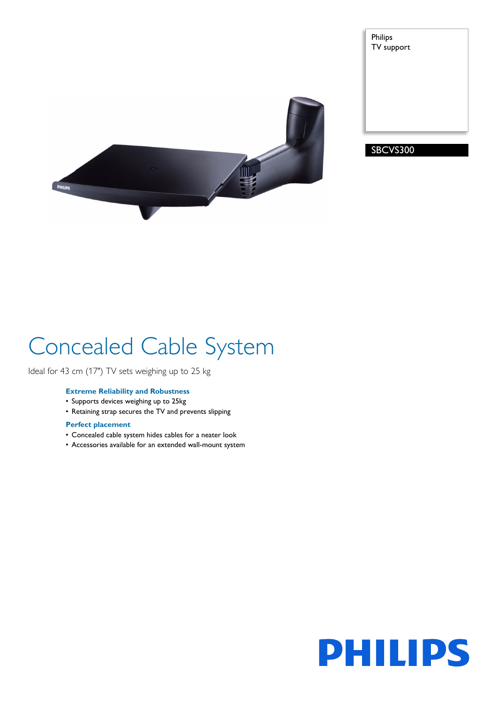



SBCVS300

# Concealed Cable System

Ideal for 43 cm (17") TV sets weighing up to 25 kg

## **Extreme Reliability and Robustness**

- Supports devices weighing up to 25kg
- Retaining strap secures the TV and prevents slipping

## **Perfect placement**

- Concealed cable system hides cables for a neater look
- Accessories available for an extended wall-mount system